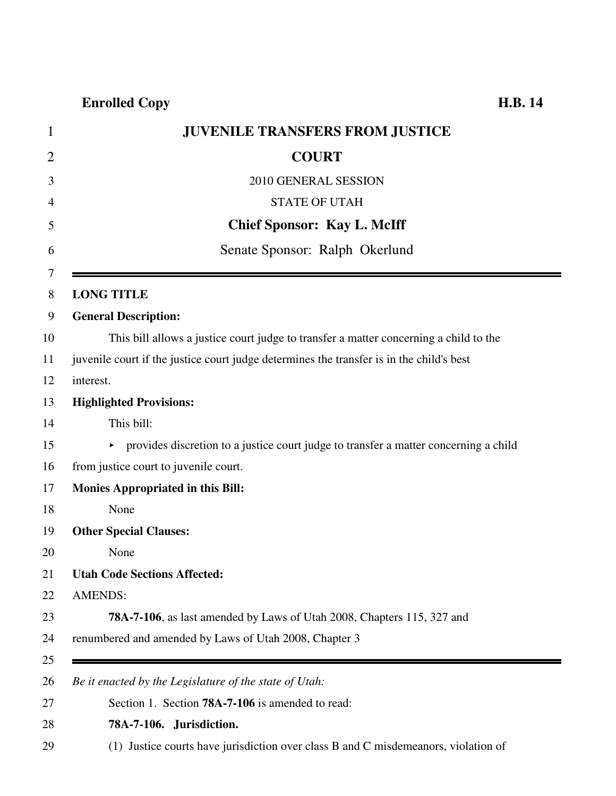## **Enrolled Copy H.B. 14**

| $\mathbf{1}$   | <b>JUVENILE TRANSFERS FROM JUSTICE</b>                                                   |
|----------------|------------------------------------------------------------------------------------------|
| $\overline{2}$ | <b>COURT</b>                                                                             |
| 3              | 2010 GENERAL SESSION                                                                     |
| 4              | <b>STATE OF UTAH</b>                                                                     |
| 5              | <b>Chief Sponsor: Kay L. McIff</b>                                                       |
| 6              | Senate Sponsor: Ralph Okerlund                                                           |
| 7<br>8         | <b>LONG TITLE</b>                                                                        |
| 9              | <b>General Description:</b>                                                              |
| 10             | This bill allows a justice court judge to transfer a matter concerning a child to the    |
| 11             | juvenile court if the justice court judge determines the transfer is in the child's best |
| 12             | interest.                                                                                |
| 13             | <b>Highlighted Provisions:</b>                                                           |
| 14             | This bill:                                                                               |
| 15             | • provides discretion to a justice court judge to transfer a matter concerning a child   |
| 16             | from justice court to juvenile court.                                                    |
| 17             | <b>Monies Appropriated in this Bill:</b>                                                 |
| 18             | None                                                                                     |
| 19             | <b>Other Special Clauses:</b>                                                            |
| 20             | None                                                                                     |
| 21             | <b>Utah Code Sections Affected:</b>                                                      |
| 22             | <b>AMENDS:</b>                                                                           |
| 23             | <b>78A-7-106</b> , as last amended by Laws of Utah 2008, Chapters 115, 327 and           |
| 24             | renumbered and amended by Laws of Utah 2008, Chapter 3                                   |
| 25             |                                                                                          |
| 26             | Be it enacted by the Legislature of the state of Utah:                                   |
| 27             | Section 1. Section <b>78A-7-106</b> is amended to read:                                  |
| 28             | 78A-7-106. Jurisdiction.                                                                 |
| 29             | (1) Justice courts have jurisdiction over class B and C misdemeanors, violation of       |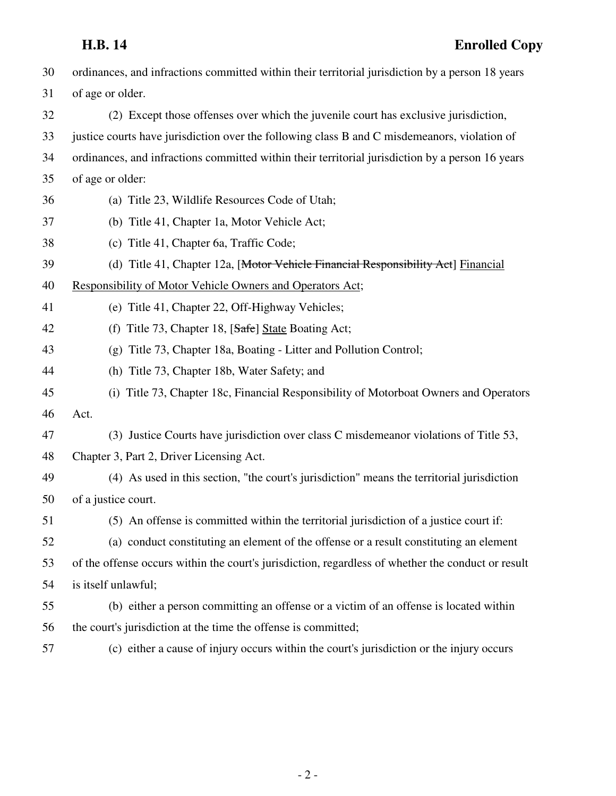| 30 | ordinances, and infractions committed within their territorial jurisdiction by a person 18 years   |
|----|----------------------------------------------------------------------------------------------------|
| 31 | of age or older.                                                                                   |
| 32 | (2) Except those offenses over which the juvenile court has exclusive jurisdiction,                |
| 33 | justice courts have jurisdiction over the following class B and C misdemeanors, violation of       |
| 34 | ordinances, and infractions committed within their territorial jurisdiction by a person 16 years   |
| 35 | of age or older:                                                                                   |
| 36 | (a) Title 23, Wildlife Resources Code of Utah;                                                     |
| 37 | (b) Title 41, Chapter 1a, Motor Vehicle Act;                                                       |
| 38 | (c) Title 41, Chapter 6a, Traffic Code;                                                            |
| 39 | (d) Title 41, Chapter 12a, [Motor Vehicle Financial Responsibility Act] Financial                  |
| 40 | Responsibility of Motor Vehicle Owners and Operators Act;                                          |
| 41 | (e) Title 41, Chapter 22, Off-Highway Vehicles;                                                    |
| 42 | (f) Title 73, Chapter 18, [Safe] State Boating Act;                                                |
| 43 | (g) Title 73, Chapter 18a, Boating - Litter and Pollution Control;                                 |
| 44 | (h) Title 73, Chapter 18b, Water Safety; and                                                       |
| 45 | (i) Title 73, Chapter 18c, Financial Responsibility of Motorboat Owners and Operators              |
| 46 | Act.                                                                                               |
| 47 | (3) Justice Courts have jurisdiction over class C misdemeanor violations of Title 53,              |
| 48 | Chapter 3, Part 2, Driver Licensing Act.                                                           |
| 49 | (4) As used in this section, "the court's jurisdiction" means the territorial jurisdiction         |
| 50 | of a justice court.                                                                                |
| 51 | (5) An offense is committed within the territorial jurisdiction of a justice court if:             |
| 52 | (a) conduct constituting an element of the offense or a result constituting an element             |
| 53 | of the offense occurs within the court's jurisdiction, regardless of whether the conduct or result |
| 54 | is itself unlawful;                                                                                |
| 55 | (b) either a person committing an offense or a victim of an offense is located within              |
| 56 | the court's jurisdiction at the time the offense is committed;                                     |
| 57 | (c) either a cause of injury occurs within the court's jurisdiction or the injury occurs           |